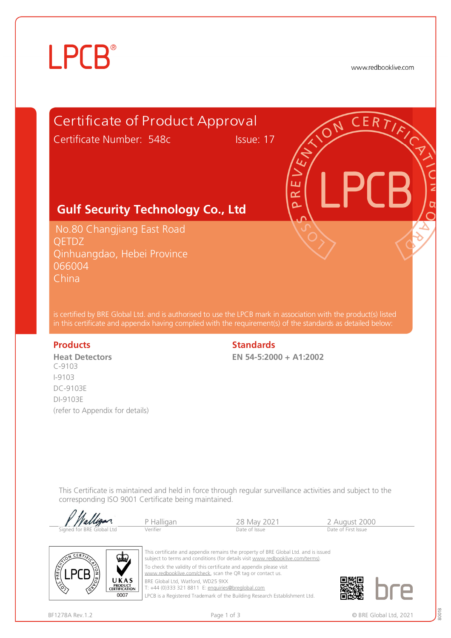# **LPCB**®

www.redbooklive.com





To check the validity of this certificate and appendix please visit [www.redbooklive.com/check,](http://www.redbooklive.com/check) scan the QR tag or contact us. BRE Global Ltd, Watford, WD25 9XX

T: +44 (0)333 321 8811 E: [enquiries@breglobal.com](mailto:enquiries@breglobal.com)

LPCB is a Registered Trademark of the Building Research Establishment Ltd.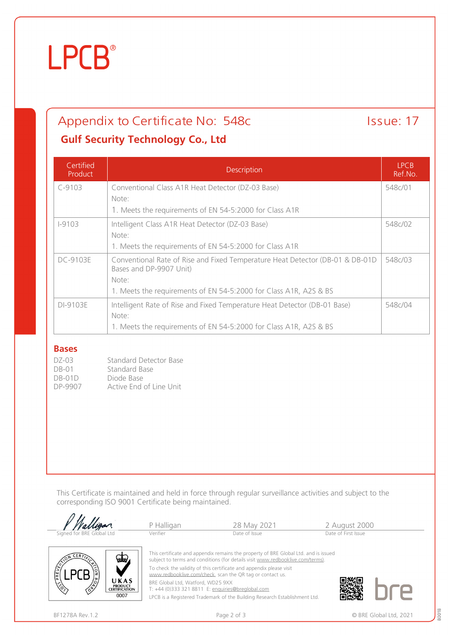# **LPCB**®

## Appendix to Certificate No: 548c Issue: 17

### **Gulf Security Technology Co., Ltd**

| Certified<br>Product | Description                                                                                              | <b>LPCB</b><br>Ref.No. |  |
|----------------------|----------------------------------------------------------------------------------------------------------|------------------------|--|
| $C-9103$             | Conventional Class A1R Heat Detector (DZ-03 Base)                                                        | 548c/01                |  |
|                      | Note:                                                                                                    |                        |  |
|                      | 1. Meets the requirements of EN 54-5:2000 for Class A1R                                                  |                        |  |
| $1 - 9103$           | Intelligent Class A1R Heat Detector (DZ-03 Base)                                                         | 548c/02                |  |
|                      | Note:                                                                                                    |                        |  |
|                      | 1. Meets the requirements of EN 54-5:2000 for Class A1R                                                  |                        |  |
| DC-9103E             | Conventional Rate of Rise and Fixed Temperature Heat Detector (DB-01 & DB-01D<br>Bases and DP-9907 Unit) |                        |  |
|                      | Note:                                                                                                    |                        |  |
|                      | 1. Meets the requirements of EN 54-5:2000 for Class A1R, A2S & BS                                        |                        |  |
| DI-9103E             | Intelligent Rate of Rise and Fixed Temperature Heat Detector (DB-01 Base)                                | 548c/04                |  |
|                      | Note:                                                                                                    |                        |  |
|                      | 1. Meets the requirements of EN 54-5:2000 for Class A1R, A2S & BS                                        |                        |  |

#### **Bases**

| DZ-03   | Standard Detector Base  |
|---------|-------------------------|
| $DB-01$ | Standard Base           |
| DB-01D  | Diode Base              |
| DP-9907 | Active End of Line Unit |

UKAS **PRODUCT<br>CERTIFICATION** 0007

This Certificate is maintained and held in force through regular surveillance activities and subject to the corresponding ISO 9001 Certificate being maintained.





To check the validity of this certificate and appendix please visit

[www.redbooklive.com/check](http://www.redbooklive.com/check), scan the QR tag or contact us.

BRE Global Ltd, Watford, WD25 9XX

T: +44 (0)333 321 8811 E: [enquiries@breglobal.com](mailto:enquiries@breglobal.com)

LPCB is a Registered Trademark of the Building Research Establishment Ltd.



80018